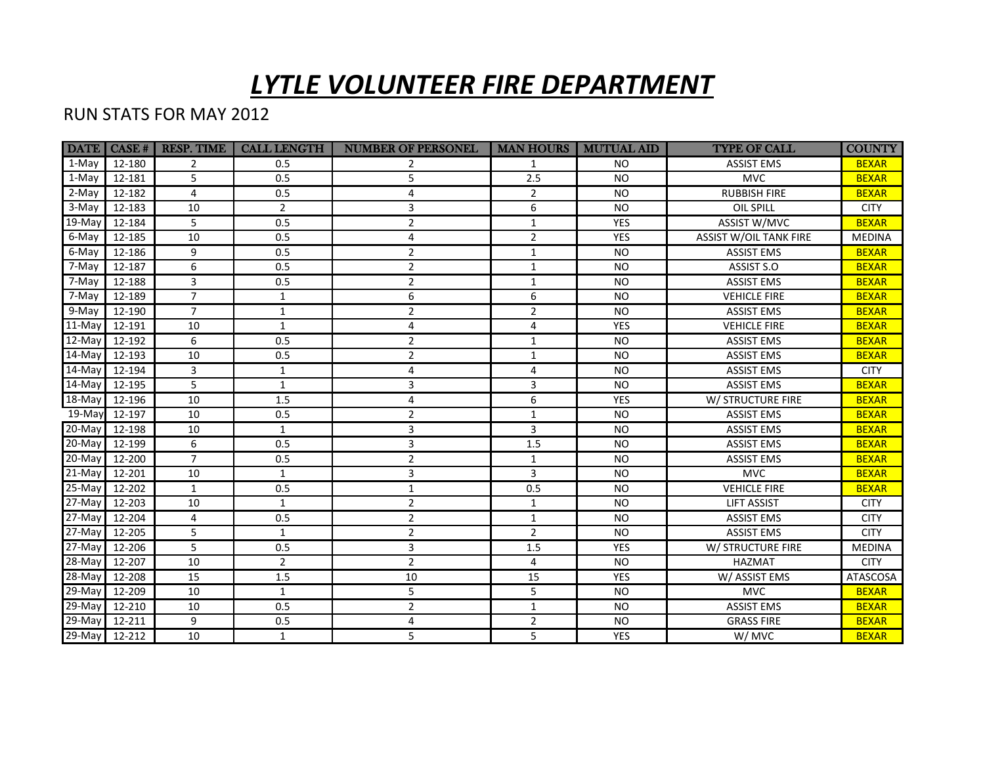## *LYTLE VOLUNTEER FIRE DEPARTMENT*

## RUN STATS FOR MAY 2012

|                  | <b>DATE</b>   CASE # | <b>RESP. TIME</b> | <b>CALL LENGTH</b> | <b>NUMBER OF PERSONEL</b> | <b>MAN HOURS</b> | <b>MUTUAL AID</b> | <b>TYPE OF CALL</b>           | <b>COUNTY</b>   |
|------------------|----------------------|-------------------|--------------------|---------------------------|------------------|-------------------|-------------------------------|-----------------|
| 1-May            | 12-180               | 2                 | 0.5                |                           | 1                | N <sub>O</sub>    | <b>ASSIST EMS</b>             | <b>BEXAR</b>    |
| 1-May            | 12-181               | 5                 | 0.5                | 5                         | 2.5              | <b>NO</b>         | <b>MVC</b>                    | <b>BEXAR</b>    |
| 2-May            | 12-182               | $\overline{4}$    | 0.5                | 4                         | $\overline{2}$   | <b>NO</b>         | <b>RUBBISH FIRE</b>           | <b>BEXAR</b>    |
| 3-May            | 12-183               | 10                | 2                  | 3                         | 6                | <b>NO</b>         | OIL SPILL                     | <b>CITY</b>     |
| $19$ -May        | 12-184               | 5                 | 0.5                | $\overline{c}$            | $\mathbf{1}$     | <b>YES</b>        | ASSIST W/MVC                  | <b>BEXAR</b>    |
| 6-May            | 12-185               | 10                | 0.5                | 4                         | $\overline{2}$   | <b>YES</b>        | <b>ASSIST W/OIL TANK FIRE</b> | <b>MEDINA</b>   |
| 6-May            | 12-186               | 9                 | 0.5                | 2                         | $\mathbf{1}$     | <b>NO</b>         | <b>ASSIST EMS</b>             | <b>BEXAR</b>    |
| 7-May            | 12-187               | 6                 | 0.5                | $\overline{2}$            | $\mathbf{1}$     | <b>NO</b>         | ASSIST S.O                    | <b>BEXAR</b>    |
| 7-May            | 12-188               | 3                 | 0.5                | $\overline{2}$            | $\mathbf{1}$     | <b>NO</b>         | <b>ASSIST EMS</b>             | <b>BEXAR</b>    |
| 7-May            | 12-189               | $\overline{7}$    | 1                  | 6                         | 6                | <b>NO</b>         | <b>VEHICLE FIRE</b>           | <b>BEXAR</b>    |
| 9-May            | 12-190               | $\overline{7}$    | $\mathbf{1}$       | $\overline{c}$            | $\overline{2}$   | <b>NO</b>         | <b>ASSIST EMS</b>             | <b>BEXAR</b>    |
| $11-May$         | 12-191               | 10                | $\mathbf{1}$       | 4                         | 4                | <b>YES</b>        | <b>VEHICLE FIRE</b>           | <b>BEXAR</b>    |
| $\sqrt{12}$ -May | 12-192               | 6                 | 0.5                | $\overline{2}$            | $\mathbf{1}$     | <b>NO</b>         | <b>ASSIST EMS</b>             | <b>BEXAR</b>    |
| $\sqrt{14}$ -May | 12-193               | 10                | 0.5                | $\overline{c}$            | $\mathbf{1}$     | <b>NO</b>         | <b>ASSIST EMS</b>             | <b>BEXAR</b>    |
| $14$ -May        | 12-194               | $\overline{3}$    | $\mathbf{1}$       | 4                         | 4                | <b>NO</b>         | <b>ASSIST EMS</b>             | <b>CITY</b>     |
| 14-May           | 12-195               | 5                 | $\mathbf{1}$       | 3                         | 3                | <b>NO</b>         | <b>ASSIST EMS</b>             | <b>BEXAR</b>    |
| 18-May           | 12-196               | 10                | 1.5                | 4                         | 6                | <b>YES</b>        | W/ STRUCTURE FIRE             | <b>BEXAR</b>    |
| 19-Mayl          | 12-197               | 10                | 0.5                | $\overline{2}$            | $\mathbf{1}$     | <b>NO</b>         | <b>ASSIST EMS</b>             | <b>BEXAR</b>    |
| $20$ -May        | 12-198               | 10                | $\mathbf{1}$       | 3                         | 3                | <b>NO</b>         | <b>ASSIST EMS</b>             | <b>BEXAR</b>    |
| 20-May           | 12-199               | 6                 | 0.5                | 3                         | 1.5              | <b>NO</b>         | <b>ASSIST EMS</b>             | <b>BEXAR</b>    |
| 20-May           | 12-200               | $\overline{7}$    | 0.5                | 2                         | $\mathbf{1}$     | <b>NO</b>         | <b>ASSIST EMS</b>             | <b>BEXAR</b>    |
| 21-May           | 12-201               | 10                | $\mathbf{1}$       | 3                         | 3                | <b>NO</b>         | <b>MVC</b>                    | <b>BEXAR</b>    |
| $\sqrt{25}$ -May | 12-202               | $\mathbf{1}$      | 0.5                | $\mathbf{1}$              | 0.5              | <b>NO</b>         | <b>VEHICLE FIRE</b>           | <b>BEXAR</b>    |
| $27$ -May        | 12-203               | 10                | $\mathbf{1}$       | 2                         | $\mathbf{1}$     | <b>NO</b>         | <b>LIFT ASSIST</b>            | <b>CITY</b>     |
| $27$ -May        | 12-204               | 4                 | 0.5                | $\overline{2}$            | $\mathbf{1}$     | <b>NO</b>         | <b>ASSIST EMS</b>             | <b>CITY</b>     |
| $27-May$         | 12-205               | 5                 | $\mathbf{1}$       | $\overline{2}$            | $\overline{2}$   | <b>NO</b>         | <b>ASSIST EMS</b>             | <b>CITY</b>     |
| $27$ -May        | 12-206               | 5                 | 0.5                | 3                         | 1.5              | <b>YES</b>        | W/ STRUCTURE FIRE             | <b>MEDINA</b>   |
| $\sqrt{28}$ -May | 12-207               | 10                | $\overline{2}$     | $\overline{2}$            | 4                | <b>NO</b>         | <b>HAZMAT</b>                 | <b>CITY</b>     |
| $28$ -May        | 12-208               | 15                | 1.5                | 10                        | 15               | <b>YES</b>        | W/ASSIST EMS                  | <b>ATASCOSA</b> |
| $29$ -May        | 12-209               | 10                | $\mathbf{1}$       | 5                         | 5                | <b>NO</b>         | <b>MVC</b>                    | <b>BEXAR</b>    |
| 29-May           | 12-210               | 10                | 0.5                | $\overline{2}$            | $\mathbf{1}$     | <b>NO</b>         | <b>ASSIST EMS</b>             | <b>BEXAR</b>    |
| 29-May           | 12-211               | 9                 | 0.5                | 4                         | $\overline{2}$   | <b>NO</b>         | <b>GRASS FIRE</b>             | <b>BEXAR</b>    |
| $29$ -May        | 12-212               | 10                | $\mathbf{1}$       | 5                         | 5                | YES               | W/MVC                         | <b>BEXAR</b>    |